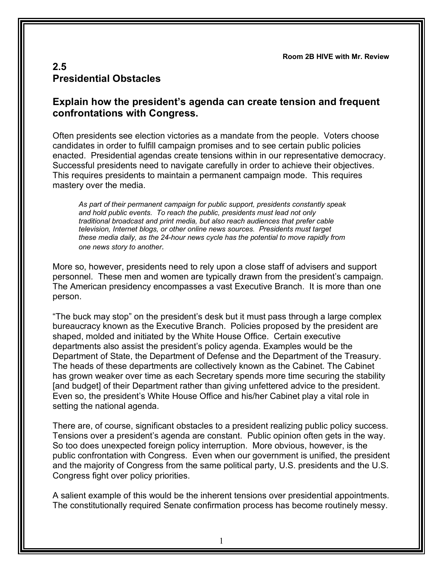**Room 2B HIVE with Mr. Review**

## **2.5 Presidential Obstacles**

## **Explain how the president's agenda can create tension and frequent confrontations with Congress.**

Often presidents see election victories as a mandate from the people. Voters choose candidates in order to fulfill campaign promises and to see certain public policies enacted. Presidential agendas create tensions within in our representative democracy. Successful presidents need to navigate carefully in order to achieve their objectives. This requires presidents to maintain a permanent campaign mode. This requires mastery over the media.

*As part of their permanent campaign for public support, presidents constantly speak and hold public events. To reach the public, presidents must lead not only traditional broadcast and print media, but also reach audiences that prefer cable television, Internet blogs, or other online news sources. Presidents must target these media daily, as the 24-hour news cycle has the potential to move rapidly from one news story to another.*

More so, however, presidents need to rely upon a close staff of advisers and support personnel. These men and women are typically drawn from the president's campaign. The American presidency encompasses a vast Executive Branch. It is more than one person.

"The buck may stop" on the president's desk but it must pass through a large complex bureaucracy known as the Executive Branch. Policies proposed by the president are shaped, molded and initiated by the White House Office. Certain executive departments also assist the president's policy agenda. Examples would be the Department of State, the Department of Defense and the Department of the Treasury. The heads of these departments are collectively known as the Cabinet. The Cabinet has grown weaker over time as each Secretary spends more time securing the stability [and budget] of their Department rather than giving unfettered advice to the president. Even so, the president's White House Office and his/her Cabinet play a vital role in setting the national agenda.

There are, of course, significant obstacles to a president realizing public policy success. Tensions over a president's agenda are constant. Public opinion often gets in the way. So too does unexpected foreign policy interruption. More obvious, however, is the public confrontation with Congress. Even when our government is unified, the president and the majority of Congress from the same political party, U.S. presidents and the U.S. Congress fight over policy priorities.

A salient example of this would be the inherent tensions over presidential appointments. The constitutionally required Senate confirmation process has become routinely messy.